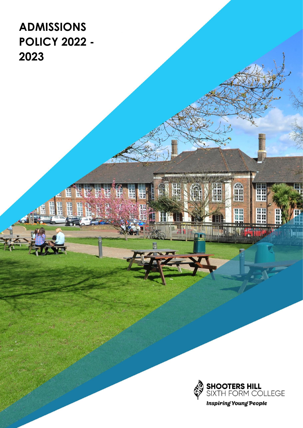**ADMISSIONS POLICY 2022 - 2023**

ää

謂



OS

un<br>Ha

**MATHER** 

W

H.

<u>Japo</u>

**大学 市場開始** 

盟

W

**ETT** 

H 温明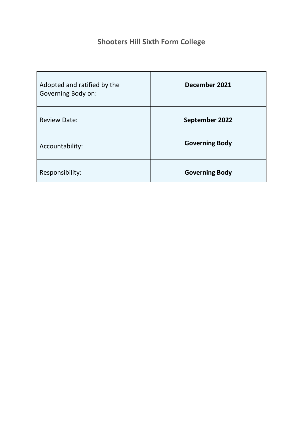# **Shooters Hill Sixth Form College**

| Adopted and ratified by the<br>Governing Body on: | December 2021         |
|---------------------------------------------------|-----------------------|
| <b>Review Date:</b>                               | September 2022        |
| Accountability:                                   | <b>Governing Body</b> |
| Responsibility:                                   | <b>Governing Body</b> |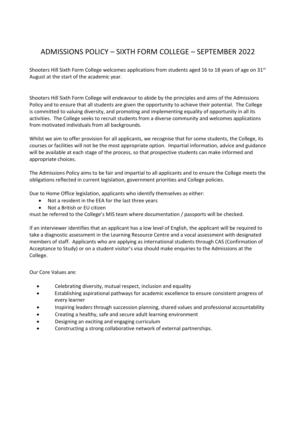# ADMISSIONS POLICY – SIXTH FORM COLLEGE – SEPTEMBER 2022

Shooters Hill Sixth Form College welcomes applications from students aged 16 to 18 years of age on  $31<sup>st</sup>$ August at the start of the academic year.

Shooters Hill Sixth Form College will endeavour to abide by the principles and aims of the Admissions Policy and to ensure that all students are given the opportunity to achieve their potential. The College is committed to valuing diversity, and promoting and implementing equality of opportunity in all its activities. The College seeks to recruit students from a diverse community and welcomes applications from motivated individuals from all backgrounds.

Whilst we aim to offer provision for all applicants, we recognise that for some students, the College, its courses or facilities will not be the most appropriate option. Impartial information, advice and guidance will be available at each stage of the process, so that prospective students can make informed and appropriate choices.

The Admissions Policy aims to be fair and impartial to all applicants and to ensure the College meets the obligations reflected in current legislation, government priorities and College policies.

Due to Home Office legislation, applicants who identify themselves as either:

- Not a resident in the EEA for the last three years
- Not a British or EU citizen

must be referred to the College's MIS team where documentation / passports will be checked.

If an interviewer identifies that an applicant has a low level of English, the applicant will be required to take a diagnostic assessment in the Learning Resource Centre and a vocal assessment with designated members of staff. Applicants who are applying as international students through CAS (Confirmation of Acceptance to Study) or on a student visitor's visa should make enquiries to the Admissions at the College.

Our Core Values are:

- Celebrating diversity, mutual respect, inclusion and equality
- Establishing aspirational pathways for academic excellence to ensure consistent progress of every learner
- Inspiring leaders through succession planning, shared values and professional accountability
- Creating a healthy, safe and secure adult learning environment
- Designing an exciting and engaging curriculum
- Constructing a strong collaborative network of external partnerships.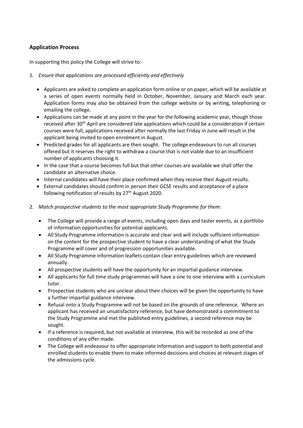#### **Application Process**

In supporting this policy the College will strive to:-

#### *1. Ensure that applications are processed efficiently and effectively*

- Applicants are asked to complete an application form online or on paper, which will be available at a series of open events normally held in October, November, January and March each year. Application forms may also be obtained from the college website or by writing, telephoning or emailing the college.
- Applications can be made at any point in the year for the following academic year, though those received after 30<sup>th</sup> April are considered late applications which could be a consideration if certain courses were full; applications received after normally the last Friday in June will result in the applicant being invited to open enrolment in August.
- Predicted grades for all applicants are then sought. The college endeavours to run all courses offered but it reserves the right to withdraw a course that is not viable due to an insufficient number of applicants choosing it.
- In the case that a course becomes full but that other courses are available we shall offer the candidate an alternative choice.
- Internal candidates will have their place confirmed when they receive their August results.
- External candidates should confirm in person their GCSE results and acceptance of a place following notification of results by 27<sup>th</sup> August 2020.
- 2. *Match prospective students to the most appropriate Study Programme for them*:
	- The College will provide a range of events, including open days and taster events, as a portfolio of information opportunities for potential applicants.
	- All Study Programme information is accurate and clear and will include sufficient information on the content for the prospective student to have a clear understanding of what the Study Programme will cover and of progression opportunities available.
	- All Study Programme information leaflets contain clear entry guidelines which are reviewed annually.
	- All prospective students will have the opportunity for an impartial guidance interview.
	- All applicants for full time study programmes will have a one to one interview with a curriculum tutor.
	- Prospective students who are unclear about their choices will be given the opportunity to have a further impartial guidance interview.
	- Refusal onto a Study Programme will not be based on the grounds of one reference. Where an applicant has received an unsatisfactory reference, but have demonstrated a commitment to the Study Programme and met the published entry guidelines, a second reference may be sought.
	- If a reference is required, but not available at interview, this will be recorded as one of the conditions of any offer made.
	- The College will endeavour to offer appropriate information and support to both potential and enrolled students to enable them to make informed decisions and choices at relevant stages of the admissions cycle.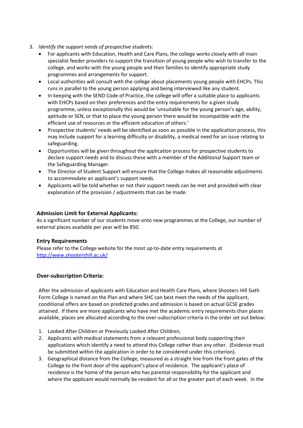- 3. *Identify the support needs of prospective students:*
	- For applicants with Education, Health and Care Plans, the college works closely with all main specialist feeder providers to support the transition of young people who wish to transfer to the college, and works with the young people and their families to identify appropriate study programmes and arrangements for support.
	- Local authorities will consult with the college about placements young people with EHCPs. This runs in parallel to the young person applying and being interviewed like any student.
	- In keeping with the SEND Code of Practice, the college will offer a suitable place to applicants with EHCPs based on their preferences and the entry requirements for a given study programme, unless exceptionally this would be 'unsuitable for the young person's age, ability, aptitude or SEN, or that to place the young person there would be incompatible with the efficient use of resources or the efficient education of others.'
	- Prospective students' needs will be identified as soon as possible in the application process, this may include support for a learning difficulty or disability, a medical need for an issue relating to safeguarding.
	- Opportunities will be given throughout the application process for prospective students to declare support needs and to discuss these with a member of the Additional Support team or the Safeguarding Manager.
	- The Director of Student Support will ensure that the College makes all reasonable adjustments to accommodate an applicant's support needs.
	- Applicants will be told whether or not their support needs can be met and provided with clear explanation of the provision / adjustments that can be made.

### **Admission Limit for External Applicants:**

As a significant number of our students move onto new programmes at the College, our number of external places available per year will be 850.

#### **Entry Requirements**

Please refer to the College website for the most up-to-date entry requirements at <http://www.shootershill.ac.uk/>

## **Over-subscription Criteria:**

After the admission of applicants with Education and Health Care Plans, where Shooters Hill Sixth Form College is named on the Plan and where SHC can best meet the needs of the applicant, conditional offers are based on predicted grades and admission is based on actual GCSE grades attained. If there are more applicants who have met the academic entry requirements than places available, places are allocated according to the over-subscription criteria in the order set out below:

- 1. Looked After Children or Previously Looked After Children;
- 2. Applicants with medical statements from a relevant professional body supporting their applications which identify a need to attend this College rather than any other. (Evidence must be submitted within the application in order to be considered under this criterion).
- 3. Geographical distance from the College, measured as a straight line from the front gates of the College to the front door of the applicant's place of residence. The applicant's place of residence is the home of the person who has parental responsibility for the applicant and where the applicant would normally be resident for all or the greater part of each week. In the